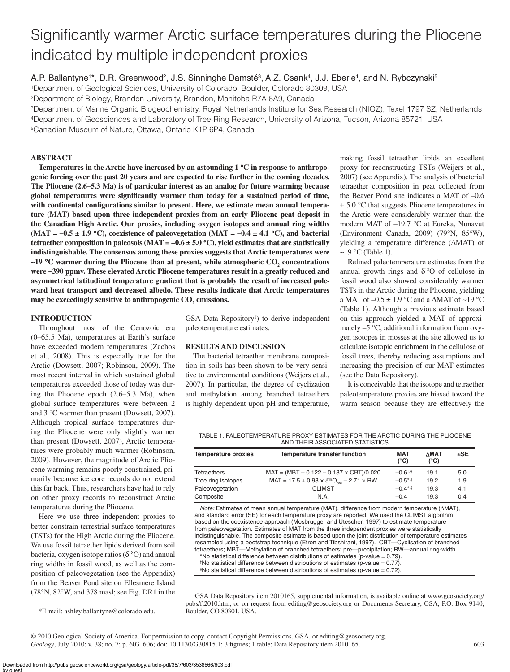# Significantly warmer Arctic surface temperatures during the Pliocene indicated by multiple independent proxies

A.P. Ballantyne<sup>1\*</sup>, D.R. Greenwood<sup>2</sup>, J.S. Sinninghe Damsté<sup>3</sup>, A.Z. Csank<sup>4</sup>, J.J. Eberle<sup>1</sup>, and N. Rybczynski<sup>5</sup>

1Department of Geological Sciences, University of Colorado, Boulder, Colorado 80309, USA

2Department of Biology, Brandon University, Brandon, Manitoba R7A 6A9, Canada

3Department of Marine Organic Biogeochemistry, Royal Netherlands Institute for Sea Research (NIOZ), Texel 1797 SZ, Netherlands 4Department of Geosciences and Laboratory of Tree-Ring Research, University of Arizona, Tucson, Arizona 85721, USA 5Canadian Museum of Nature, Ottawa, Ontario K1P 6P4, Canada

# **ABSTRACT**

**Temperatures in the Arctic have increased by an astounding 1** °**C in response to anthropogenic forcing over the past 20 years and are expected to rise further in the coming decades. The Pliocene (2.6–5.3 Ma) is of particular interest as an analog for future warming because**  global temperatures were significantly warmer than today for a sustained period of time, with continental configurations similar to present. Here, we estimate mean annual tempera**ture (MAT) based upon three independent proxies from an early Pliocene peat deposit in the Canadian High Arctic. Our proxies, including oxygen isotopes and annual ring widths (MAT = –0.5 ± 1.9** °**C), coexistence of paleovegetation (MAT = –0.4 ± 4.1** °**C), and bacterial tetraether composition in paleosols (MAT = –0.6**  $\pm$  **5.0 °C), yield estimates that are statistically indistinguishable. The consensus among these proxies suggests that Arctic temperatures were ~19 °C** warmer during the Pliocene than at present, while atmospheric CO<sub>2</sub> concentrations **were ~390 ppmv. These elevated Arctic Pliocene temperatures result in a greatly reduced and asymmetrical latitudinal temperature gradient that is probably the result of increased poleward heat transport and decreased albedo. These results indicate that Arctic temperatures**  may be exceedingly sensitive to anthropogenic  $CO<sub>2</sub>$  emissions.

# **INTRODUCTION**

Throughout most of the Cenozoic era (0–65.5 Ma), temperatures at Earth's surface have exceeded modern temperatures (Zachos et al., 2008). This is especially true for the Arctic (Dowsett, 2007; Robinson, 2009). The most recent interval in which sustained global temperatures exceeded those of today was during the Pliocene epoch (2.6–5.3 Ma), when global surface temperatures were between 2 and 3 °C warmer than present (Dowsett, 2007). Although tropical surface temperatures during the Pliocene were only slightly warmer than present (Dowsett, 2007), Arctic temperatures were probably much warmer (Robinson, 2009). However, the magnitude of Arctic Pliocene warming remains poorly constrained, primarily because ice core records do not extend this far back. Thus, researchers have had to rely on other proxy records to reconstruct Arctic temperatures during the Pliocene.

Here we use three independent proxies to better constrain terrestrial surface temperatures (TSTs) for the High Arctic during the Pliocene. We use fossil tetraether lipids derived from soil bacteria, oxygen isotope ratios ( $\delta^{18}O$ ) and annual ring widths in fossil wood, as well as the composition of paleovegetation (see the Appendix) from the Beaver Pond site on Ellesmere Island (78°N, 82°W, and 378 masl; see Fig. DR1 in the

GSA Data Repository<sup>1</sup>) to derive independent paleotemperature estimates.

### **RESULTS AND DISCUSSION**

The bacterial tetraether membrane composition in soils has been shown to be very sensitive to environmental conditions (Weijers et al., 2007). In particular, the degree of cyclization and methylation among branched tetraethers is highly dependent upon pH and temperature,

making fossil tetraether lipids an excellent proxy for reconstructing TSTs (Weijers et al., 2007) (see Appendix). The analysis of bacterial tetraether composition in peat collected from the Beaver Pond site indicates a MAT of –0.6  $\pm$  5.0 °C that suggests Pliocene temperatures in the Arctic were considerably warmer than the modern MAT of –19.7 °C at Eureka, Nunavut (Environment Canada, 2009) (79°N, 85°W), yielding a temperature difference (ΔMAT) of  $\sim$ 19 °C (Table 1).

Refined paleotemperature estimates from the annual growth rings and  $\delta^{18}$ O of cellulose in fossil wood also showed considerably warmer TSTs in the Arctic during the Pliocene, yielding a MAT of  $-0.5 \pm 1.9$  °C and a  $\triangle$ MAT of  $\sim$ 19 °C (Table 1). Although a previous estimate based on this approach yielded a MAT of approximately –5 °C, additional information from oxygen isotopes in mosses at the site allowed us to calculate isotopic enrichment in the cellulose of fossil trees, thereby reducing assumptions and increasing the precision of our MAT estimates (see the Data Repository).

It is conceivable that the isotope and tetraether paleotemperature proxies are biased toward the warm season because they are effectively the

TABLE 1. PALEOTEMPERATURE PROXY ESTIMATES FOR THE ARCTIC DURING THE PLIOCENE AND THEIR ASSOCIATED STATISTICS

| <b>Temperature proxies</b> | Temperature transfer function                                           | <b>MAT</b><br>$(^{\circ}C)$ | <b>AMAT</b><br>$(^{\circ}C)$ | $±$ SE |
|----------------------------|-------------------------------------------------------------------------|-----------------------------|------------------------------|--------|
| <b>Tetraethers</b>         | $MAT = (MBT - 0.122 - 0.187 \times CBT)/0.020$                          | $-0.6$ <sup>t,§</sup>       | 19.1                         | 5.0    |
| Tree ring isotopes         | $MAT = 17.5 + 0.98 \times \delta^{18}O_{\gamma\gamma} - 2.71 \times RW$ | $-0.5$ *,†                  | 19.2                         | 1.9    |
| Paleovegetation            | <b>CLIMST</b>                                                           | $-0.4$ <sup>*,§</sup>       | 19.3                         | 4.1    |
| Composite                  | N.A.                                                                    | $-0.4$                      | 19.3                         | 0.4    |

*Note:* Estimates of mean annual temperature (MAT), difference from modern temperature (ΔMAT), and standard error (SE) for each temperature proxy are reported. We used the CLIMST algorithm based on the coexistence approach (Mosbrugger and Utescher, 1997) to estimate temperature from paleovegetation. Estimates of MAT from the three independent proxies were statistically indistinguishable. The composite estimate is based upon the joint distribution of temperature estimates resampled using a bootstrap technique (Efron and Tibshirani, 1997). CBT—Cyclisation of branched tetraethers; MBT—Methylation of branched tetraethers; pre—precipitation; RW—annual ring-width.

\*No statistical difference between distributions of estimates (p-value = 0.79).

<sup>†</sup>No statistical difference between distributions of estimates (p-value =  $0.77$ ).

§No statistical difference between distributions of estimates (p-value = 0.72).

<sup>\*</sup>E-mail: ashley.ballantyne@colorado.edu.

<sup>1</sup> GSA Data Repository item 2010165, supplemental information, is available online at www.geosociety.org/ pubs/ft2010.htm, or on request from editing@geosociety.org or Documents Secretary, GSA, P.O. Box 9140, Boulder, CO 80301, USA.

*Geology*, July 2010; v. 38; no. 7; p. 603–606; doi: 10.1130/G30815.1; 3 figures; 1 table; Data Repository item 2010165. 603 © 2010 Geological Society of America. For permission to copy, contact Copyright Permissions, GSA, or editing@geosociety.org.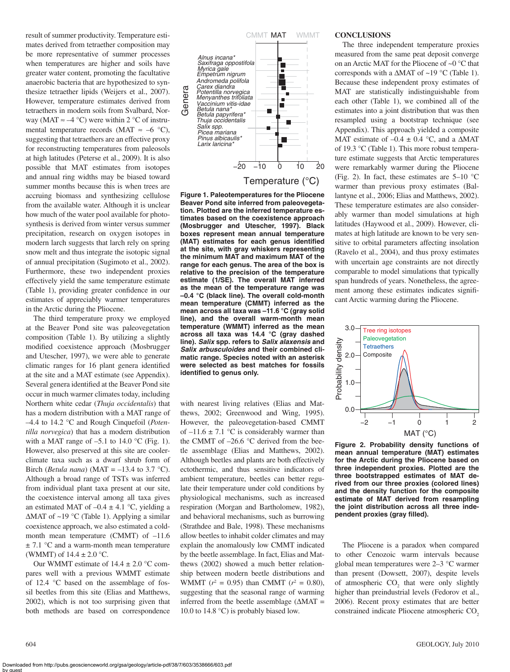result of summer productivity. Temperature estimates derived from tetraether composition may be more representative of summer processes when temperatures are higher and soils have greater water content, promoting the facultative anaerobic bacteria that are hypothesized to synthesize tetraether lipids (Weijers et al., 2007). However, temperature estimates derived from tetraethers in modern soils from Svalbard, Norway (MAT  $\approx -4$  °C) were within 2 °C of instrumental temperature records (MAT  $\approx -6$  °C), suggesting that tetraethers are an effective proxy for reconstructing temperatures from paleosols at high latitudes (Peterse et al., 2009). It is also possible that MAT estimates from isotopes and annual ring widths may be biased toward summer months because this is when trees are accruing biomass and synthesizing cellulose from the available water. Although it is unclear how much of the water pool available for photosynthesis is derived from winter versus summer precipitation, research on oxygen isotopes in modern larch suggests that larch rely on spring snow melt and thus integrate the isotopic signal of annual precipitation (Sugimoto et al., 2002). Furthermore, these two independent proxies effectively yield the same temperature estimate (Table 1), providing greater confidence in our estimates of appreciably warmer temperatures in the Arctic during the Pliocene.

The third temperature proxy we employed at the Beaver Pond site was paleovegetation composition (Table 1). By utilizing a slightly modified coexistence approach (Mosbrugger and Utescher, 1997), we were able to generate climatic ranges for 16 plant genera identified at the site and a MAT estimate (see Appendix). Several genera identified at the Beaver Pond site occur in much warmer climates today, including Northern white cedar (*Thuja occidentalis*) that has a modern distribution with a MAT range of –4.4 to 14.2 °C and Rough Cinquefoil (*Potentilla norvegica*) that has a modern distribution with a MAT range of  $-5.1$  to 14.0 °C (Fig. 1). However, also preserved at this site are coolerclimate taxa such as a dwarf shrub form of Birch (*Betula nana*) (MAT =  $-13.4$  to 3.7 °C). Although a broad range of TSTs was inferred from individual plant taxa present at our site, the coexistence interval among all taxa gives an estimated MAT of  $-0.4 \pm 4.1$  °C, yielding a ΔMAT of ~19 °C (Table 1). Applying a similar coexistence approach, we also estimated a coldmonth mean temperature (CMMT) of –11.6  $\pm$  7.1 °C and a warm-month mean temperature (WMMT) of  $14.4 \pm 2.0$  °C.

Our WMMT estimate of  $14.4 \pm 2.0$  °C compares well with a previous WMMT estimate of 12.4 °C based on the assemblage of fossil beetles from this site (Elias and Matthews, 2002), which is not too surprising given that both methods are based on correspondence



**Figure 1. Paleotemperatures for the Pliocene Beaver Pond site inferred from paleovegetation. Plotted are the inferred temperature estimates based on the coexistence approach (Mosbrugger and Utescher, 1997). Black boxes represent mean annual temperature**  (MAT) estimates for each genus identified **at the site, with gray whiskers representing the minimum MAT and maximum MAT of the range for each genus. The area of the box is relative to the precision of the temperature estimate (1/SE). The overall MAT inferred as the mean of the temperature range was –0.4 °C (black line). The overall cold-month mean temperature (CMMT) inferred as the mean across all taxa was –11.6 °C (gray solid line), and the overall warm-month mean temperature (WMMT) inferred as the mean across all taxa was 14.4 °C (gray dashed line).** *Salix* **spp. refers to** *Salix alaxensis* **and**  *Salix arbusculoides* **and their combined climatic range. Species noted with an asterisk were selected as best matches for fossils identified to genus only.** 

with nearest living relatives (Elias and Matthews, 2002; Greenwood and Wing, 1995). However, the paleovegetation-based CMMT of  $-11.6 \pm 7.1$  °C is considerably warmer than the CMMT of –26.6 °C derived from the beetle assemblage (Elias and Matthews, 2002). Although beetles and plants are both effectively ectothermic, and thus sensitive indicators of ambient temperature, beetles can better regulate their temperature under cold conditions by physiological mechanisms, such as increased respiration (Morgan and Bartholomew, 1982), and behavioral mechanisms, such as burrowing (Strathdee and Bale, 1998). These mechanisms allow beetles to inhabit colder climates and may explain the anomalously low CMMT indicated by the beetle assemblage. In fact, Elias and Matthews (2002) showed a much better relationship between modern beetle distributions and WMMT ( $r^2 = 0.95$ ) than CMMT ( $r^2 = 0.80$ ), suggesting that the seasonal range of warming inferred from the beetle assemblage  $(ΔMAT =$ 10.0 to 14.8 °C) is probably biased low.

# **CONCLUSIONS**

The three independent temperature proxies measured from the same peat deposit converge on an Arctic MAT for the Pliocene of ~0 °C that corresponds with a  $\triangle MAT$  of ~19 °C (Table 1). Because these independent proxy estimates of MAT are statistically indistinguishable from each other (Table 1), we combined all of the estimates into a joint distribution that was then resampled using a bootstrap technique (see Appendix). This approach yielded a composite MAT estimate of  $-0.4 \pm 0.4$  °C, and a  $\triangle MAT$ of 19.3 °C (Table 1). This more robust temperature estimate suggests that Arctic temperatures were remarkably warmer during the Pliocene (Fig. 2). In fact, these estimates are  $5-10$  °C warmer than previous proxy estimates (Ballantyne et al., 2006; Elias and Matthews, 2002). These temperature estimates are also considerably warmer than model simulations at high latitudes (Haywood et al., 2009). However, climates at high latitude are known to be very sensitive to orbital parameters affecting insolation (Ravelo et al., 2004), and thus proxy estimates with uncertain age constraints are not directly comparable to model simulations that typically span hundreds of years. Nonetheless, the agreement among these estimates indicates significant Arctic warming during the Pliocene.



**Figure 2. Probability density functions of mean annual temperature (MAT) estimates for the Arctic during the Pliocene based on three independent proxies. Plotted are the three bootstrapped estimates of MAT derived from our three proxies (colored lines) and the density function for the composite estimate of MAT derived from resampling the joint distribution across all three inde**pendent proxies (gray filled).

The Pliocene is a paradox when compared to other Cenozoic warm intervals because global mean temperatures were 2–3 °C warmer than present (Dowsett, 2007), despite levels of atmospheric  $CO<sub>2</sub>$  that were only slightly higher than preindustrial levels (Fedorov et al., 2006). Recent proxy estimates that are better constrained indicate Pliocene atmospheric CO<sub>2</sub>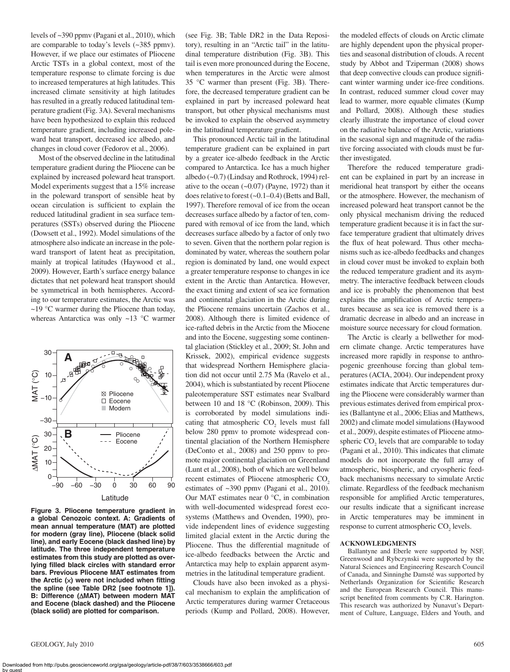levels of ~390 ppmv (Pagani et al., 2010), which are comparable to today's levels (~385 ppmv). However, if we place our estimates of Pliocene Arctic TSTs in a global context, most of the temperature response to climate forcing is due to increased temperatures at high latitudes. This increased climate sensitivity at high latitudes has resulted in a greatly reduced latitudinal temperature gradient (Fig. 3A). Several mechanisms have been hypothesized to explain this reduced temperature gradient, including increased poleward heat transport, decreased ice albedo, and changes in cloud cover (Fedorov et al., 2006).

Most of the observed decline in the latitudinal temperature gradient during the Pliocene can be explained by increased poleward heat transport. Model experiments suggest that a 15% increase in the poleward transport of sensible heat by ocean circulation is sufficient to explain the reduced latitudinal gradient in sea surface temperatures (SSTs) observed during the Pliocene (Dowsett et al., 1992). Model simulations of the atmosphere also indicate an increase in the poleward transport of latent heat as precipitation, mainly at tropical latitudes (Haywood et al., 2009). However, Earth's surface energy balance dictates that net poleward heat transport should be symmetrical in both hemispheres. According to our temperature estimates, the Arctic was  $\sim$ 19 °C warmer during the Pliocene than today, whereas Antarctica was only ~13 °C warmer



**Figure 3. Pliocene temperature gradient in a global Cenozoic context. A: Gradients of mean annual temperature (MAT) are plotted for modern (gray line), Pliocene (black solid line), and early Eocene (black dashed line) by latitude. The three independent temperature estimates from this study are plotted as overlying fi lled black circles with standard error bars. Previous Pliocene MAT estimates from**  the Arctic (x) were not included when fitting **the spline (see Table DR2 [see footnote 1]). B: Difference (**Δ**MAT) between modern MAT and Eocene (black dashed) and the Pliocene (black solid) are plotted for comparison.**

(see Fig. 3B; Table DR2 in the Data Repository), resulting in an "Arctic tail" in the latitudinal temperature distribution (Fig. 3B). This tail is even more pronounced during the Eocene, when temperatures in the Arctic were almost 35 °C warmer than present (Fig. 3B). Therefore, the decreased temperature gradient can be explained in part by increased poleward heat transport, but other physical mechanisms must be invoked to explain the observed asymmetry in the latitudinal temperature gradient.

This pronounced Arctic tail in the latitudinal temperature gradient can be explained in part by a greater ice-albedo feedback in the Arctic compared to Antarctica. Ice has a much higher albedo (~0.7) (Lindsay and Rothrock, 1994) relative to the ocean  $(-0.07)$  (Payne, 1972) than it does relative to forest (~0.1–0.4) (Betts and Ball, 1997). Therefore removal of ice from the ocean decreases surface albedo by a factor of ten, compared with removal of ice from the land, which decreases surface albedo by a factor of only two to seven. Given that the northern polar region is dominated by water, whereas the southern polar region is dominated by land, one would expect a greater temperature response to changes in ice extent in the Arctic than Antarctica. However, the exact timing and extent of sea ice formation and continental glaciation in the Arctic during the Pliocene remains uncertain (Zachos et al., 2008). Although there is limited evidence of ice-rafted debris in the Arctic from the Miocene and into the Eocene, suggesting some continental glaciation (Stickley et al., 2009; St. John and Krissek, 2002), empirical evidence suggests that widespread Northern Hemisphere glaciation did not occur until 2.75 Ma (Ravelo et al., 2004), which is substantiated by recent Pliocene paleotemperature SST estimates near Svalbard between 10 and 18 °C (Robinson, 2009). This is corroborated by model simulations indicating that atmospheric  $CO<sub>2</sub>$  levels must fall below 280 ppmv to promote widespread continental glaciation of the Northern Hemisphere (DeConto et al., 2008) and 250 ppmv to promote major continental glaciation on Greenland (Lunt et al., 2008), both of which are well below recent estimates of Pliocene atmospheric CO<sub>2</sub> estimates of ~390 ppmv (Pagani et al., 2010). Our MAT estimates near 0 °C, in combination with well-documented widespread forest ecosystems (Matthews and Ovenden, 1990), provide independent lines of evidence suggesting limited glacial extent in the Arctic during the Pliocene. Thus the differential magnitude of ice-albedo feedbacks between the Arctic and Antarctica may help to explain apparent asymmetries in the latitudinal temperature gradient.

Clouds have also been invoked as a physical mechanism to explain the amplification of Arctic temperatures during warmer Cretaceous periods (Kump and Pollard, 2008). However,

the modeled effects of clouds on Arctic climate are highly dependent upon the physical properties and seasonal distribution of clouds. A recent study by Abbot and Tziperman (2008) shows that deep convective clouds can produce significant winter warming under ice-free conditions. In contrast, reduced summer cloud cover may lead to warmer, more equable climates (Kump and Pollard, 2008). Although these studies clearly illustrate the importance of cloud cover on the radiative balance of the Arctic, variations in the seasonal sign and magnitude of the radiative forcing associated with clouds must be further investigated.

Therefore the reduced temperature gradient can be explained in part by an increase in meridional heat transport by either the oceans or the atmosphere. However, the mechanism of increased poleward heat transport cannot be the only physical mechanism driving the reduced temperature gradient because it is in fact the surface temperature gradient that ultimately drives the flux of heat poleward. Thus other mechanisms such as ice-albedo feedbacks and changes in cloud cover must be invoked to explain both the reduced temperature gradient and its asymmetry. The interactive feedback between clouds and ice is probably the phenomenon that best explains the amplification of Arctic temperatures because as sea ice is removed there is a dramatic decrease in albedo and an increase in moisture source necessary for cloud formation.

The Arctic is clearly a bellwether for modern climate change. Arctic temperatures have increased more rapidly in response to anthropogenic greenhouse forcing than global temperatures (ACIA, 2004). Our independent proxy estimates indicate that Arctic temperatures during the Pliocene were considerably warmer than previous estimates derived from empirical proxies (Ballantyne et al., 2006; Elias and Matthews, 2002) and climate model simulations (Haywood et al., 2009), despite estimates of Pliocene atmospheric  $CO<sub>2</sub>$  levels that are comparable to today (Pagani et al., 2010). This indicates that climate models do not incorporate the full array of atmospheric, biospheric, and cryospheric feedback mechanisms necessary to simulate Arctic climate. Regardless of the feedback mechanism responsible for amplified Arctic temperatures, our results indicate that a significant increase in Arctic temperatures may be imminent in response to current atmospheric  $CO<sub>2</sub>$  levels.

# **ACKNOWLEDGMENTS**

Ballantyne and Eberle were supported by NSF, Greenwood and Rybczynski were supported by the Natural Sciences and Engineering Research Council of Canada, and Sinninghe Damsté was supported by Netherlands Organization for Scientific Research and the European Research Council. This manuscript benefited from comments by C.R. Harington. This research was authorized by Nunavut's Department of Culture, Language, Elders and Youth, and

Downloaded from http://pubs.geoscienceworld.org/gsa/geology/article-pdf/38/7/603/3538666/603.pdf by guest